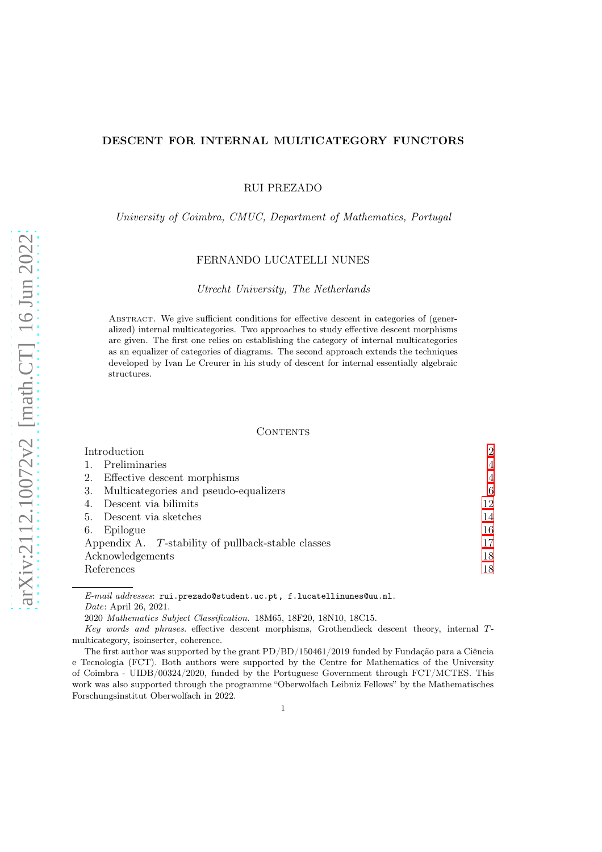# DESCENT FOR INTERNAL MULTICATEGORY FUNCTORS

RUI PREZADO

### University of Coimbra, CMUC, Department of Mathematics, Portugal

### FERNANDO LUCATELLI NUNES

#### Utrecht University, The Netherlands

Abstract. We give sufficient conditions for effective descent in categories of (generalized) internal multicategories. Two approaches to study effective descent morphisms are given. The first one relies on establishing the category of internal multicategories as an equalizer of categories of diagrams. The second approach extends the techniques developed by Ivan Le Creurer in his study of descent for internal essentially algebraic structures.

### CONTENTS

| Introduction                                       | $\overline{2}$ |
|----------------------------------------------------|----------------|
| Preliminaries                                      | 4              |
| Effective descent morphisms<br>2.                  | 4              |
| Multicategories and pseudo-equalizers<br>3.        | 6              |
| Descent via bilimits                               | 12             |
| Descent via sketches<br>5.                         | 14             |
| Epilogue<br>6.                                     | 16             |
| Appendix A. T-stability of pullback-stable classes | 17             |
| Acknowledgements                                   | 18             |
| References                                         | 18             |
|                                                    |                |

 $E-mail$   $addresses:$  rui.prezado@student.uc.pt, f.lucatellinunes@uu.nl. Date: April 26, 2021.

2020 Mathematics Subject Classification. 18M65, 18F20, 18N10, 18C15.

Key words and phrases. effective descent morphisms, Grothendieck descent theory, internal Tmulticategory, isoinserter, coherence.

The first author was supported by the grant PD/BD/150461/2019 funded by Fundação para a Ciência e Tecnologia (FCT). Both authors were supported by the Centre for Mathematics of the University of Coimbra - UIDB/00324/2020, funded by the Portuguese Government through FCT/MCTES. This work was also supported through the programme "Oberwolfach Leibniz Fellows" by the Mathematisches Forschungsinstitut Oberwolfach in 2022.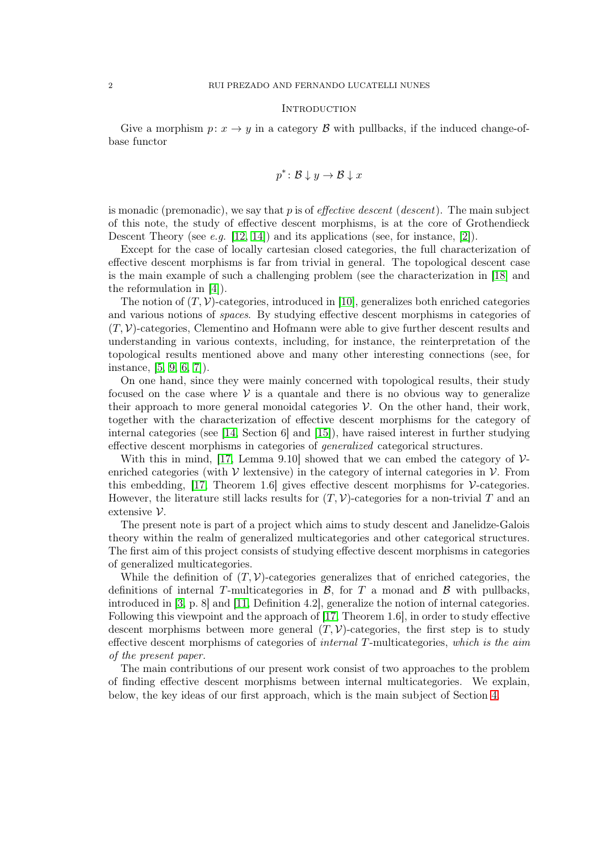#### <span id="page-1-0"></span>**INTRODUCTION**

Give a morphism  $p: x \to y$  in a category B with pullbacks, if the induced change-ofbase functor

$$
p^* \colon \mathcal{B} \downarrow y \to \mathcal{B} \downarrow x
$$

is monadic (premonadic), we say that  $p$  is of *effective descent* (*descent*). The main subject of this note, the study of effective descent morphisms, is at the core of Grothendieck Descent Theory (see *e.g.* [\[12,](#page-17-2) [14\]](#page-17-3)) and its applications (see, for instance, [\[2\]](#page-17-4)).

Except for the case of locally cartesian closed categories, the full characterization of effective descent morphisms is far from trivial in general. The topological descent case is the main example of such a challenging problem (see the characterization in [\[18\]](#page-18-0) and the reformulation in [\[4\]](#page-17-5)).

The notion of  $(T, V)$ -categories, introduced in [\[10\]](#page-17-6), generalizes both enriched categories and various notions of spaces. By studying effective descent morphisms in categories of  $(T, V)$ -categories, Clementino and Hofmann were able to give further descent results and understanding in various contexts, including, for instance, the reinterpretation of the topological results mentioned above and many other interesting connections (see, for instance, [\[5,](#page-17-7) [9,](#page-17-8) [6,](#page-17-9) [7\]](#page-17-10)).

On one hand, since they were mainly concerned with topological results, their study focused on the case where  $\mathcal V$  is a quantale and there is no obvious way to generalize their approach to more general monoidal categories  $V$ . On the other hand, their work, together with the characterization of effective descent morphisms for the category of internal categories (see [\[14,](#page-17-3) Section 6] and [\[15\]](#page-17-11)), have raised interest in further studying effective descent morphisms in categories of generalized categorical structures.

With this in mind, [\[17,](#page-17-12) Lemma 9.10] showed that we can embed the category of  $\mathcal{V}$ enriched categories (with  $\mathcal V$  lextensive) in the category of internal categories in  $\mathcal V$ . From this embedding, [\[17,](#page-17-12) Theorem 1.6] gives effective descent morphisms for  $\mathcal V$ -categories. However, the literature still lacks results for  $(T, V)$ -categories for a non-trivial T and an extensive V.

The present note is part of a project which aims to study descent and Janelidze-Galois theory within the realm of generalized multicategories and other categorical structures. The first aim of this project consists of studying effective descent morphisms in categories of generalized multicategories.

While the definition of  $(T, V)$ -categories generalizes that of enriched categories, the definitions of internal T-multicategories in  $\mathcal{B}$ , for T a monad and  $\mathcal{B}$  with pullbacks, introduced in [\[3,](#page-17-13) p. 8] and [\[11,](#page-17-14) Definition 4.2], generalize the notion of internal categories. Following this viewpoint and the approach of [\[17,](#page-17-12) Theorem 1.6], in order to study effective descent morphisms between more general  $(T, V)$ -categories, the first step is to study effective descent morphisms of categories of *internal T*-multicategories, which is the aim of the present paper.

The main contributions of our present work consist of two approaches to the problem of finding effective descent morphisms between internal multicategories. We explain, below, the key ideas of our first approach, which is the main subject of Section [4.](#page-11-0)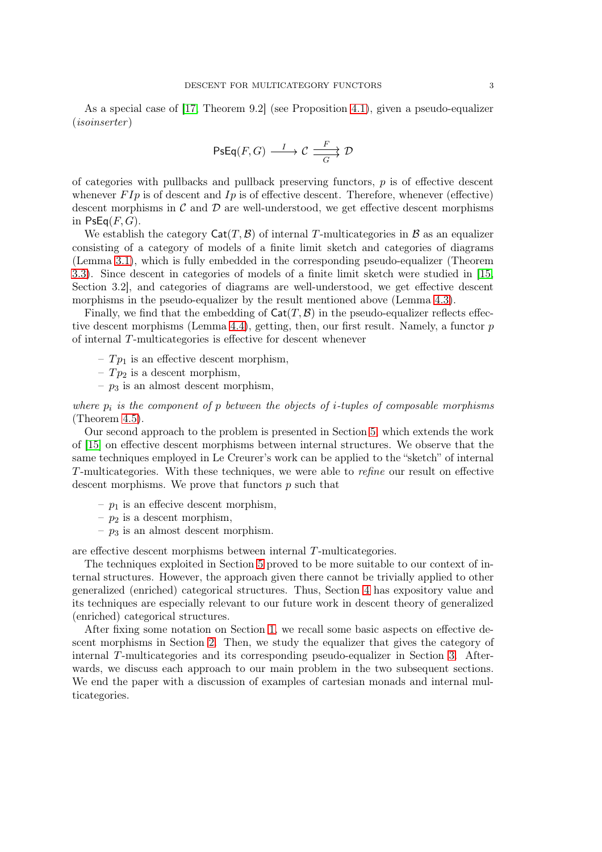As a special case of [\[17,](#page-17-12) Theorem 9.2] (see Proposition [4.1\)](#page-12-0), given a pseudo-equalizer (isoinserter )

$$
\text{PsEq}(F,G)\xrightarrow{\quad \ \ I\quad \quad }\mathcal{C}\xrightarrow[\quad G\quad \quad ]\quad \ \mathcal{D}
$$

of categories with pullbacks and pullback preserving functors,  $p$  is of effective descent whenever  $F I p$  is of descent and  $I p$  is of effective descent. Therefore, whenever (effective) descent morphisms in  $\mathcal C$  and  $\mathcal D$  are well-understood, we get effective descent morphisms in  $PsEq(F, G)$ .

We establish the category  $\text{Cat}(T, \mathcal{B})$  of internal T-multicategories in  $\mathcal{B}$  as an equalizer consisting of a category of models of a finite limit sketch and categories of diagrams (Lemma [3.1\)](#page-7-0), which is fully embedded in the corresponding pseudo-equalizer (Theorem [3.3\)](#page-8-0). Since descent in categories of models of a finite limit sketch were studied in [\[15,](#page-17-11) Section 3.2], and categories of diagrams are well-understood, we get effective descent morphisms in the pseudo-equalizer by the result mentioned above (Lemma [4.3\)](#page-12-1).

Finally, we find that the embedding of  $\text{Cat}(T, \mathcal{B})$  in the pseudo-equalizer reflects effec-tive descent morphisms (Lemma [4.4\)](#page-12-2), getting, then, our first result. Namely, a functor  $p$ of internal T-multicategories is effective for descent whenever

–  $Tp_1$  is an effective descent morphism,

–  $Tp_2$  is a descent morphism,

 $- p_3$  is an almost descent morphism,

where  $p_i$  is the component of p between the objects of *i*-tuples of composable morphisms (Theorem [4.5\)](#page-12-3).

Our second approach to the problem is presented in Section [5,](#page-13-0) which extends the work of [\[15\]](#page-17-11) on effective descent morphisms between internal structures. We observe that the same techniques employed in Le Creurer's work can be applied to the "sketch" of internal T-multicategories. With these techniques, we were able to refine our result on effective descent morphisms. We prove that functors  $p$  such that

- $p_1$  is an effecive descent morphism,
- $p_2$  is a descent morphism,
- $p_3$  is an almost descent morphism.

are effective descent morphisms between internal T-multicategories.

The techniques exploited in Section [5](#page-13-0) proved to be more suitable to our context of internal structures. However, the approach given there cannot be trivially applied to other generalized (enriched) categorical structures. Thus, Section [4](#page-11-0) has expository value and its techniques are especially relevant to our future work in descent theory of generalized (enriched) categorical structures.

After fixing some notation on Section [1,](#page-3-0) we recall some basic aspects on effective descent morphisms in Section [2.](#page-3-1) Then, we study the equalizer that gives the category of internal T-multicategories and its corresponding pseudo-equalizer in Section [3.](#page-5-0) Afterwards, we discuss each approach to our main problem in the two subsequent sections. We end the paper with a discussion of examples of cartesian monads and internal multicategories.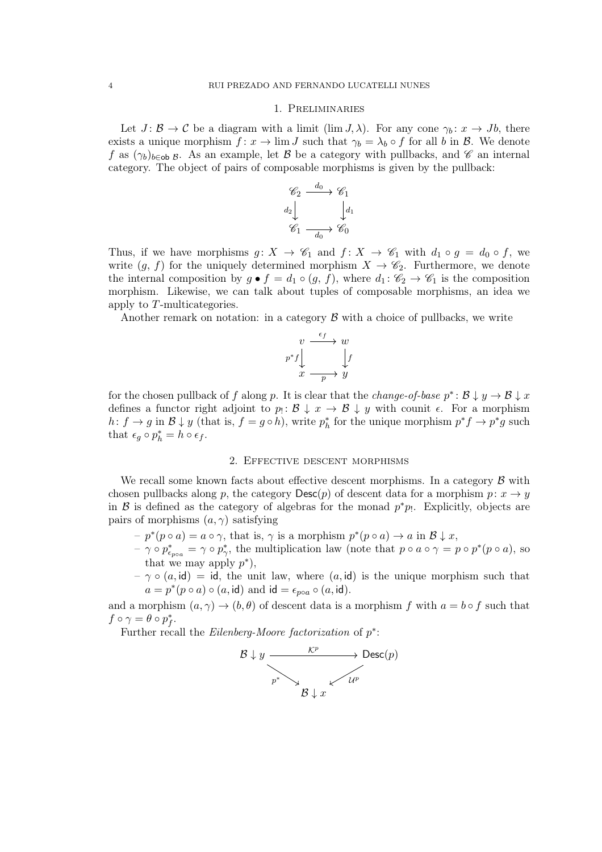#### 1. Preliminaries

<span id="page-3-0"></span>Let  $J: \mathcal{B} \to \mathcal{C}$  be a diagram with a limit (lim  $J, \lambda$ ). For any cone  $\gamma_b: x \to Jb$ , there exists a unique morphism  $f: x \to \lim J$  such that  $\gamma_b = \lambda_b \circ f$  for all b in B. We denote f as  $(\gamma_b)_{b\in\mathbf{ob}}$  B. As an example, let B be a category with pullbacks, and C an internal category. The object of pairs of composable morphisms is given by the pullback:

$$
\begin{array}{ccc}\n\mathscr{C}_2 & \xrightarrow{d_0} & \mathscr{C}_1 \\
d_2 & & d_1 \\
\mathscr{C}_1 & \xrightarrow{d_0} & \mathscr{C}_0\n\end{array}
$$

Thus, if we have morphisms  $g: X \to \mathscr{C}_1$  and  $f: X \to \mathscr{C}_1$  with  $d_1 \circ g = d_0 \circ f$ , we write  $(g, f)$  for the uniquely determined morphism  $X \to \mathscr{C}_2$ . Furthermore, we denote the internal composition by  $g \bullet f = d_1 \circ (g, f)$ , where  $d_1: \mathcal{C}_2 \to \mathcal{C}_1$  is the composition morphism. Likewise, we can talk about tuples of composable morphisms, an idea we apply to T-multicategories.

Another remark on notation: in a category  $\beta$  with a choice of pullbacks, we write

$$
v \xrightarrow{f} w
$$
  
\n
$$
p^* f \downarrow \qquad \qquad f
$$
  
\n
$$
x \xrightarrow{p} y
$$

for the chosen pullback of f along p. It is clear that the *change-of-base*  $p^* : \mathcal{B} \downarrow y \to \mathcal{B} \downarrow x$ defines a functor right adjoint to  $p_! \colon \mathcal{B} \downarrow x \to \mathcal{B} \downarrow y$  with counit  $\epsilon$ . For a morphism  $h: f \to g$  in  $\mathcal{B} \downarrow y$  (that is,  $f = g \circ h$ ), write  $p_h^*$ <sup>\*</sup><sub>h</sub> for the unique morphism  $p^*f \to p^*g$  such that  $\epsilon_g \circ p_h^* = h \circ \epsilon_f$ .

### 2. Effective descent morphisms

<span id="page-3-1"></span>We recall some known facts about effective descent morphisms. In a category  $\beta$  with chosen pullbacks along p, the category  $\text{Desc}(p)$  of descent data for a morphism  $p: x \to y$ in  $\beta$  is defined as the category of algebras for the monad  $p^*p_1$ . Explicitly, objects are pairs of morphisms  $(a, \gamma)$  satisfying

- $-p^*(p \circ a) = a \circ \gamma$ , that is,  $\gamma$  is a morphism  $p^*(p \circ a) \to a$  in  $\mathcal{B} \downarrow x$ ,
- $-\gamma \circ p^*_{\epsilon_{p \circ a}} = \gamma \circ p^*_{\gamma}$ , the multiplication law (note that  $p \circ a \circ \gamma = p \circ p^*(p \circ a)$ , so that we may apply  $p^*$ ),
- $-\gamma \circ (a, id) = id$ , the unit law, where  $(a, id)$  is the unique morphism such that  $a = p^*(p \circ a) \circ (a, id)$  and  $id = \epsilon_{p \circ a} \circ (a, id)$ .

and a morphism  $(a, \gamma) \rightarrow (b, \theta)$  of descent data is a morphism f with  $a = b \circ f$  such that  $f \circ \gamma = \theta \circ p_f^*$  $\overset{*}{f}$  .

Further recall the Eilenberg-Moore factorization of  $p^*$ :

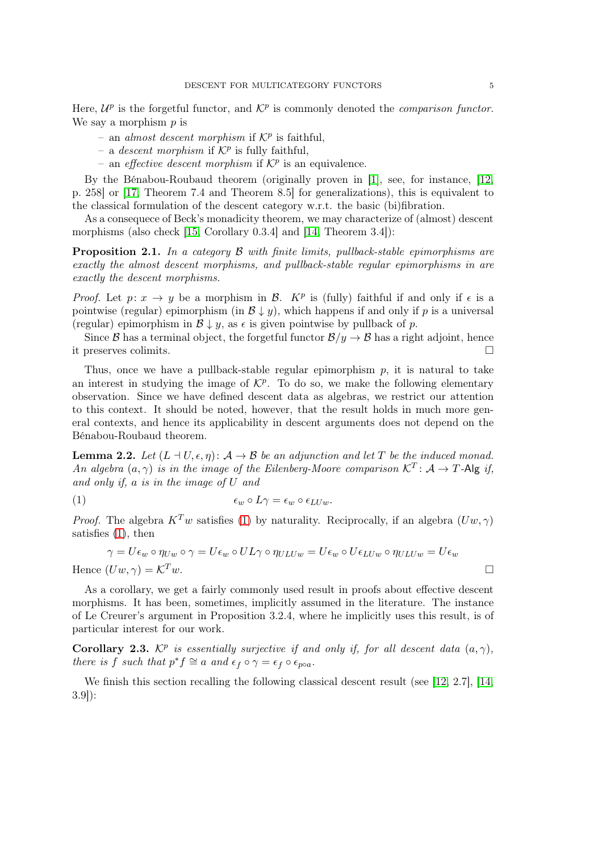Here,  $\mathcal{U}^p$  is the forgetful functor, and  $\mathcal{K}^p$  is commonly denoted the *comparison functor*. We say a morphism  $p$  is

- an almost descent morphism if  $K^p$  is faithful,
- a *descent morphism* if  $K^p$  is fully faithful,
- an *effective descent morphism* if  $K^p$  is an equivalence.

By the Bénabou-Roubaud theorem (originally proven in [\[1\]](#page-17-15), see, for instance, [\[12,](#page-17-2) p. 258] or [\[17,](#page-17-12) Theorem 7.4 and Theorem 8.5] for generalizations), this is equivalent to the classical formulation of the descent category w.r.t. the basic (bi)fibration.

As a consequece of Beck's monadicity theorem, we may characterize of (almost) descent morphisms (also check [\[15,](#page-17-11) Corollary 0.3.4] and [\[14,](#page-17-3) Theorem 3.4]):

<span id="page-4-1"></span>**Proposition 2.1.** In a category  $\beta$  with finite limits, pullback-stable epimorphisms are exactly the almost descent morphisms, and pullback-stable regular epimorphisms in are exactly the descent morphisms.

*Proof.* Let  $p: x \to y$  be a morphism in B. K<sup>p</sup> is (fully) faithful if and only if  $\epsilon$  is a pointwise (regular) epimorphism (in  $\mathcal{B} \downarrow y$ ), which happens if and only if p is a universal (regular) epimorphism in  $\mathcal{B} \downarrow y$ , as  $\epsilon$  is given pointwise by pullback of p.

Since B has a terminal object, the forgetful functor  $\mathcal{B}/y \to \mathcal{B}$  has a right adjoint, hence it preserves colimits.

Thus, once we have a pullback-stable regular epimorphism  $p$ , it is natural to take an interest in studying the image of  $\mathcal{K}^p$ . To do so, we make the following elementary observation. Since we have defined descent data as algebras, we restrict our attention to this context. It should be noted, however, that the result holds in much more general contexts, and hence its applicability in descent arguments does not depend on the Bénabou-Roubaud theorem.

**Lemma 2.2.** Let  $(L \dashv U, \epsilon, \eta)$ :  $\mathcal{A} \to \mathcal{B}$  be an adjunction and let T be the induced monad. An algebra  $(a, \gamma)$  is in the image of the Eilenberg-Moore comparison  $\mathcal{K}^T \colon \mathcal{A} \to T$ -Alg if, and only if, a is in the image of U and

<span id="page-4-0"></span>(1) 
$$
\epsilon_w \circ L\gamma = \epsilon_w \circ \epsilon_{LUw}.
$$

*Proof.* The algebra  $K^T w$  satisfies [\(1\)](#page-4-0) by naturality. Reciprocally, if an algebra  $(Uw, \gamma)$ satisfies [\(1\)](#page-4-0), then

$$
\gamma = U\epsilon_w \circ \eta_{Uw} \circ \gamma = U\epsilon_w \circ UL\gamma \circ \eta_{ULUw} = U\epsilon_w \circ U\epsilon_{LUw} \circ \eta_{ULUw} = U\epsilon_w
$$
  
Hence 
$$
(Uw, \gamma) = \mathcal{K}^T w.
$$

As a corollary, we get a fairly commonly used result in proofs about effective descent morphisms. It has been, sometimes, implicitly assumed in the literature. The instance of Le Creurer's argument in Proposition 3.2.4, where he implicitly uses this result, is of particular interest for our work.

<span id="page-4-2"></span>**Corollary 2.3.**  $\mathcal{K}^p$  is essentially surjective if and only if, for all descent data  $(a, \gamma)$ , there is f such that  $p^* f \cong a$  and  $\epsilon_f \circ \gamma = \epsilon_f \circ \epsilon_{p \circ a}$ .

We finish this section recalling the following classical descent result (see [\[12,](#page-17-2) 2.7], [\[14,](#page-17-3) 3.9]):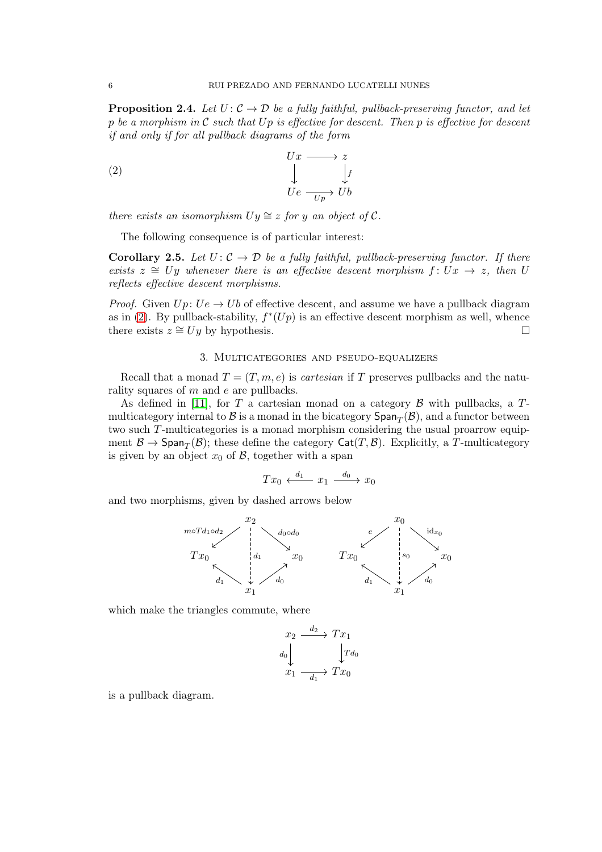**Proposition 2.4.** Let  $U: \mathcal{C} \to \mathcal{D}$  be a fully faithful, pullback-preserving functor, and let p be a morphism in  $\mathcal C$  such that  $Up$  is effective for descent. Then p is effective for descent if and only if for all pullback diagrams of the form

<span id="page-5-1"></span>(2) 
$$
\begin{array}{ccc}\nUx & \longrightarrow & z \\
& \downarrow & & \downarrow f \\
Ue & \xrightarrow{Up} & Ub\n\end{array}
$$

there exists an isomorphism  $Uy \cong z$  for y an object of C.

The following consequence is of particular interest:

<span id="page-5-2"></span>**Corollary 2.5.** Let  $U: \mathcal{C} \to \mathcal{D}$  be a fully faithful, pullback-preserving functor. If there exists  $z \cong Uy$  whenever there is an effective descent morphism  $f: Ux \to z$ , then U reflects effective descent morphisms.

*Proof.* Given  $Up: Ue \rightarrow Ub$  of effective descent, and assume we have a pullback diagram as in [\(2\)](#page-5-1). By pullback-stability,  $f^*(Up)$  is an effective descent morphism as well, whence there exists  $z \cong Uy$  by hypothesis.

### 3. Multicategories and pseudo-equalizers

<span id="page-5-0"></span>Recall that a monad  $T = (T, m, e)$  is *cartesian* if T preserves pullbacks and the naturality squares of m and e are pullbacks.

As defined in [\[11\]](#page-17-14), for T a cartesian monad on a category  $\beta$  with pullbacks, a Tmulticategory internal to  $\mathcal B$  is a monad in the bicategory  $\mathsf{Span}_T(\mathcal B),$  and a functor between two such T-multicategories is a monad morphism considering the usual proarrow equipment  $\mathcal{B} \to \mathsf{Span}_T(\mathcal{B})$ ; these define the category  $\mathsf{Cat}(T,\mathcal{B})$ . Explicitly, a T-multicategory is given by an object  $x_0$  of  $\beta$ , together with a span

$$
Tx_0 \xleftarrow{d_1} x_1 \xrightarrow{d_0} x_0
$$

and two morphisms, given by dashed arrows below



which make the triangles commute, where

$$
\begin{array}{ccc}\nx_2 & \xrightarrow{d_2} & Tx_1 \\
d_0 & & \downarrow T d_0 \\
x_1 & \xrightarrow{d_1} & Tx_0\n\end{array}
$$

is a pullback diagram.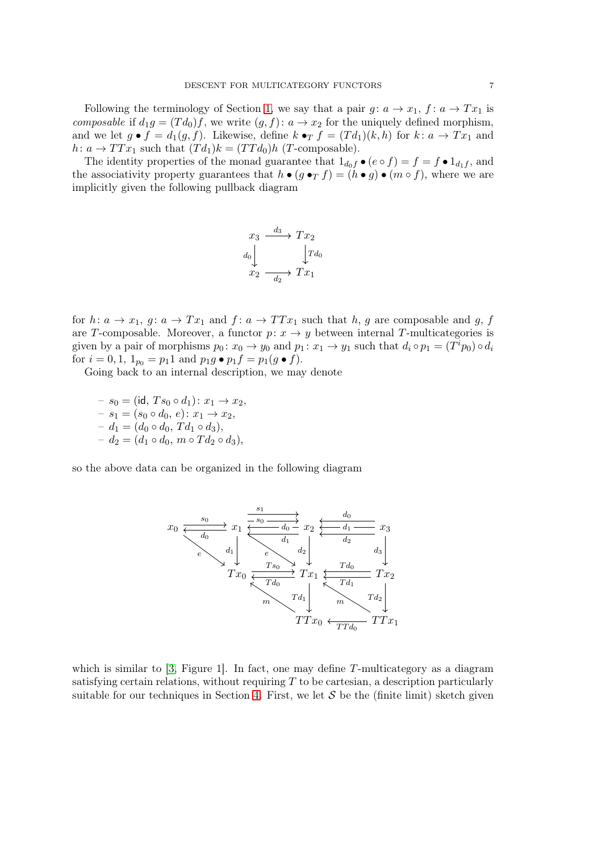Following the terminology of Section [1,](#page-3-0) we say that a pair  $q: a \to x_1, f: a \to Tx_1$  is composable if  $d_1g = (Td_0)f$ , we write  $(g, f)$ :  $a \to x_2$  for the uniquely defined morphism, and we let  $g \bullet f = d_1(g, f)$ . Likewise, define  $k \bullet_T f = (Td_1)(k, h)$  for  $k: a \to Tx_1$  and  $h: a \to TTx_1$  such that  $(Td_1)k = (TTd_0)h$  (*T*-composable).

The identity properties of the monad guarantee that  $1_{d_0f} \bullet (e \circ f) = f = f \bullet 1_{d_1f}$ , and the associativity property guarantees that  $h \bullet (g \bullet_T f) = (h \bullet g) \bullet (m \circ f)$ , where we are implicitly given the following pullback diagram

$$
\begin{array}{ccc}\nx_3 & \xrightarrow{d_3} & Tx_2 \\
d_0 & & \downarrow T d_0 \\
x_2 & & \xrightarrow{d_2} & Tx_1\n\end{array}
$$

for  $h: a \to x_1, g: a \to Tx_1$  and  $f: a \to TTx_1$  such that h, g are composable and g, f are T-composable. Moreover, a functor  $p: x \to y$  between internal T-multicategories is given by a pair of morphisms  $p_0: x_0 \to y_0$  and  $p_1: x_1 \to y_1$  such that  $d_i \circ p_1 = (T^i p_0) \circ d_i$ for  $i = 0, 1, 1_{p_0} = p_1 1$  and  $p_1 g \bullet p_1 f = p_1(g \bullet f)$ .

Going back to an internal description, we may denote

 $-s_0 = (\text{id}, T s_0 \circ d_1) : x_1 \to x_2,$  $-s_1 = (s_0 \circ d_0, e) : x_1 \to x_2,$  $- d_1 = (d_0 \circ d_0, T d_1 \circ d_3),$  $-d_2 = (d_1 \circ d_0, m \circ T d_2 \circ d_3),$ 

so the above data can be organized in the following diagram



which is similar to  $[3,$  Figure 1. In fact, one may define T-multicategory as a diagram satisfying certain relations, without requiring  $T$  to be cartesian, a description particularly suitable for our techniques in Section [4.](#page-11-0) First, we let  $S$  be the (finite limit) sketch given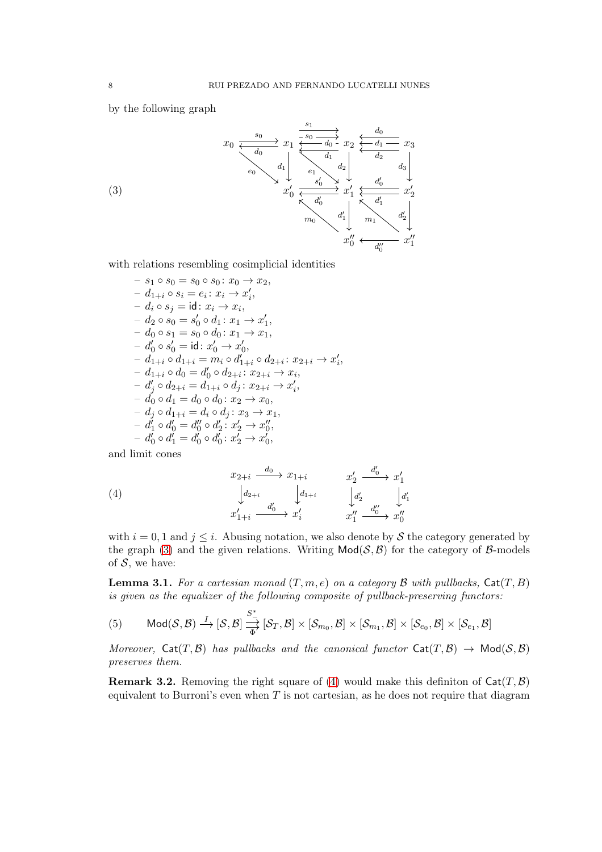by the following graph

<span id="page-7-1"></span>

with relations resembling cosimplicial identities

$$
- s_1 \circ s_0 = s_0 \circ s_0 \colon x_0 \to x_2,
$$
  
\n
$$
- d_{1+i} \circ s_i = e_i \colon x_i \to x'_i,
$$
  
\n
$$
- d_i \circ s_j = id \colon x_i \to x_i,
$$
  
\n
$$
- d_2 \circ s_0 = s'_0 \circ d_1 \colon x_1 \to x'_1,
$$
  
\n
$$
- d_0 \circ s_1 = s_0 \circ d_0 \colon x_1 \to x_1,
$$
  
\n
$$
- d'_0 \circ s'_0 = id \colon x'_0 \to x'_0,
$$
  
\n
$$
- d_{1+i} \circ d_{1+i} = m_i \circ d'_{1+i} \circ d_{2+i} \colon x_{2+i} \to x'_i,
$$
  
\n
$$
- d_{1+i} \circ d_0 = d'_0 \circ d_{2+i} \colon x_{2+i} \to x'_i,
$$
  
\n
$$
- d'_j \circ d_{2+i} = d_{1+i} \circ d_j \colon x_{2+i} \to x'_i,
$$
  
\n
$$
- d'_0 \circ d_1 = d_0 \circ d_0 \colon x_2 \to x_0,
$$
  
\n
$$
- d'_1 \circ d'_0 = d''_0 \circ d'_2 \colon x'_2 \to x''_0,
$$
  
\n
$$
- d'_0 \circ d'_1 = d'_0 \circ d'_0 \colon x'_2 \to x'_0,
$$

and limit cones

<span id="page-7-2"></span>(4) 
$$
x_{2+i} \xrightarrow{d_0} x_{1+i} \xrightarrow{x'_2} \xrightarrow{d'_0} x'_1
$$

$$
\downarrow d_{2+i} \qquad \qquad \downarrow d_{1+i} \qquad \qquad \downarrow d'_2 \qquad \qquad \downarrow d'_1
$$

$$
x'_{1+i} \xrightarrow{d'_0} x'_i \qquad x''_1 \xrightarrow{d''_0} x''_0
$$

with  $i = 0, 1$  and  $j \leq i$ . Abusing notation, we also denote by S the category generated by the graph [\(3\)](#page-7-1) and the given relations. Writing  $\text{Mod}(\mathcal{S}, \mathcal{B})$  for the category of  $\mathcal{B}\text{-models}$ of  $S$ , we have:

<span id="page-7-0"></span>**Lemma 3.1.** For a cartesian monad  $(T, m, e)$  on a category  $\beta$  with pullbacks,  $Cat(T, B)$ is given as the equalizer of the following composite of pullback-preserving functors:

<span id="page-7-3"></span>
$$
(5) \qquad \mathsf{Mod}(\mathcal{S},\mathcal{B})\stackrel{I}{\longrightarrow} [\mathcal{S},\mathcal{B}] \stackrel{S^*}{\underset{\Phi}{\longrightarrow}} [\mathcal{S}_T,\mathcal{B}]\times [\mathcal{S}_{m_0},\mathcal{B}]\times [\mathcal{S}_{m_1},\mathcal{B}]\times [\mathcal{S}_{e_0},\mathcal{B}]\times [\mathcal{S}_{e_1},\mathcal{B}]
$$

Moreover,  $\text{Cat}(T, \mathcal{B})$  has pullbacks and the canonical functor  $\text{Cat}(T, \mathcal{B}) \to \text{Mod}(\mathcal{S}, \mathcal{B})$ preserves them.

**Remark 3.2.** Removing the right square of [\(4\)](#page-7-2) would make this definiton of  $Cat(T, \mathcal{B})$ equivalent to Burroni's even when  $T$  is not cartesian, as he does not require that diagram

(3)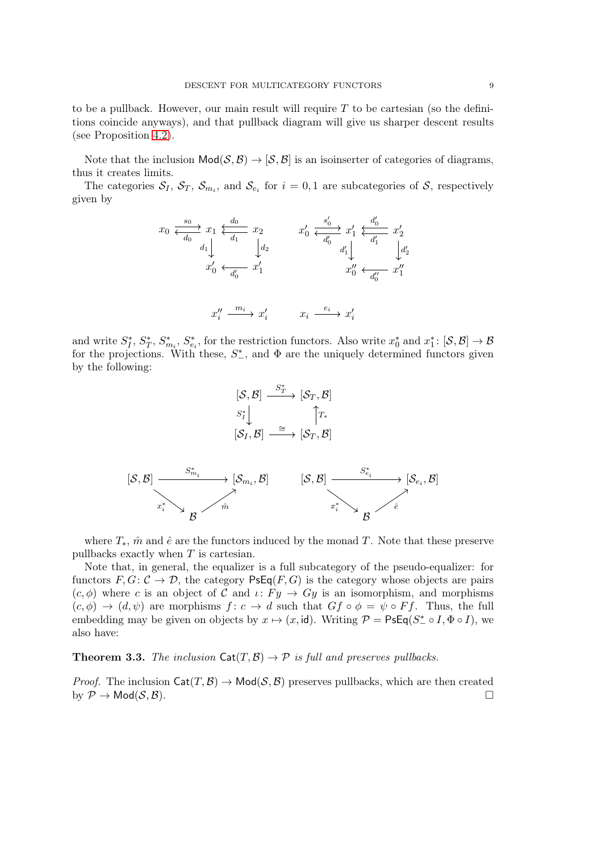to be a pullback. However, our main result will require  $T$  to be cartesian (so the definitions coincide anyways), and that pullback diagram will give us sharper descent results (see Proposition [4.2\)](#page-12-4).

Note that the inclusion  $\text{Mod}(\mathcal{S}, \mathcal{B}) \to [\mathcal{S}, \mathcal{B}]$  is an isoinserter of categories of diagrams, thus it creates limits.

The categories  $S_I$ ,  $S_T$ ,  $S_{m_i}$ , and  $S_{e_i}$  for  $i=0,1$  are subcategories of S, respectively given by

$$
\begin{array}{ccc}\nx_0 \xrightarrow{\varepsilon_0} x_1 \xleftarrow{\varepsilon_0} x_1 & x_2 & x'_0 \xleftarrow{\varepsilon'_0} x'_1 \xleftarrow{\varepsilon'_0} x'_2 \\
d_1 \downarrow & \downarrow d_2 & \downarrow d'_1 \downarrow & \downarrow d'_2 \\
x'_0 \xleftarrow{\varepsilon'_0} x'_1 & x''_0 \xleftarrow{\varepsilon'_1} x''_1 & x''_0 \xleftarrow{\varepsilon'_1} x''_1 \\
x''_i \xrightarrow{m_i} x'_i & x_i \xrightarrow{e_i} x'_i\n\end{array}
$$

and write  $S_I^*$  $I^*, S^*_T$  $T^*, S^*_{m_i}, S^*_{e_i}$ , for the restriction functors. Also write  $x_0^*$  and  $x_1^*: [\mathcal{S}, \mathcal{B}] \to \mathcal{B}$ for the projections. With these,  $S_{-}^*$ , and  $\Phi$  are the uniquely determined functors given by the following:

$$
[\mathcal{S}, \mathcal{B}] \xrightarrow{\begin{array}{c} S^*\\ \hline & \mathcal{S}^* \downarrow \\ & \mathcal{S}^* \downarrow \\ & [\mathcal{S}_I, \mathcal{B}] \xrightarrow{\cong} [\mathcal{S}_T, \mathcal{B}] \end{array}
$$

$$
[\mathcal{S}, \mathcal{B}] \xrightarrow{\begin{array}{c} S^*\\ \hline \downarrow \\ \hline & \mathcal{S}^* \downarrow \\ & \mathcal{S}^* \downarrow \\ & \mathcal{S}^* \downarrow \\ & \mathcal{B} \end{array}} [\mathcal{S}, \mathcal{B}] \xrightarrow{\begin{array}{c} S^*\\ \hline & \mathcal{S}^*_{e_i} \\ & \mathcal{S}^*_{e_i} \downarrow \\ & \mathcal{B}^* \end{array}} [\mathcal{S}_{e_i}, \mathcal{B}]
$$

where  $T_*$ ,  $\hat{m}$  and  $\hat{e}$  are the functors induced by the monad T. Note that these preserve pullbacks exactly when T is cartesian.

Note that, in general, the equalizer is a full subcategory of the pseudo-equalizer: for functors  $F, G: \mathcal{C} \to \mathcal{D}$ , the category  $\mathsf{PsEq}(F, G)$  is the category whose objects are pairs  $(c, \phi)$  where c is an object of C and  $\iota: F_y \to Gy$  is an isomorphism, and morphisms  $(c, \phi) \rightarrow (d, \psi)$  are morphisms  $f: c \rightarrow d$  such that  $Gf \circ \phi = \psi \circ Ff$ . Thus, the full embedding may be given on objects by  $x \mapsto (x, id)$ . Writing  $\mathcal{P} = \mathsf{PsEq}(S^* \circ I, \Phi \circ I)$ , we also have:

<span id="page-8-0"></span>**Theorem 3.3.** The inclusion  $\text{Cat}(T, \mathcal{B}) \rightarrow \mathcal{P}$  is full and preserves pullbacks.

*Proof.* The inclusion  $\text{Cat}(T, \mathcal{B}) \to \text{Mod}(\mathcal{S}, \mathcal{B})$  preserves pullbacks, which are then created by  $\mathcal{P} \to \mathsf{Mod}(\mathcal{S}, \mathcal{B}).$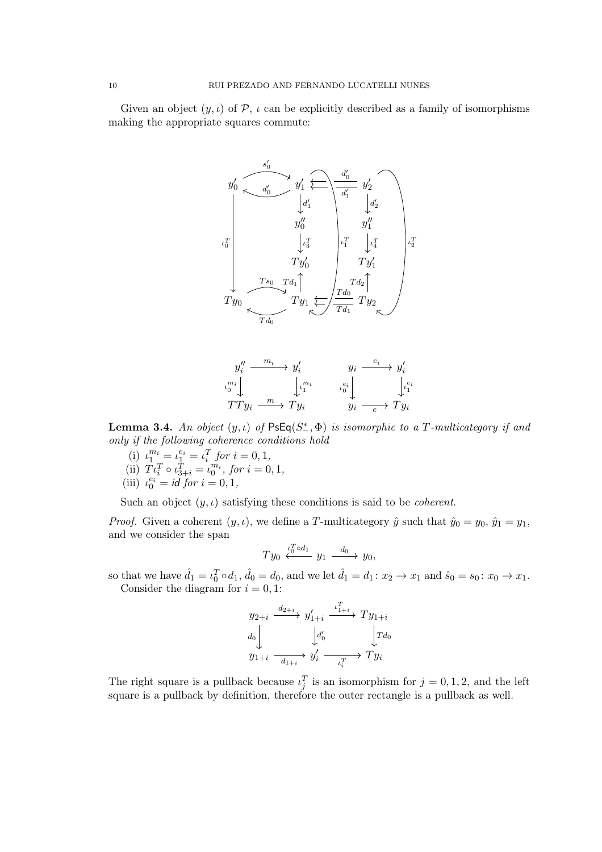Given an object  $(y, \iota)$  of P,  $\iota$  can be explicitly described as a family of isomorphisms making the appropriate squares commute:



$$
\begin{array}{ccc}\ny_i'' & \xrightarrow{m_i} & y_i' & y_i & \xrightarrow{e_i} & y_i' \\
\downarrow^{m_i} & & \downarrow^{m_i} & & \downarrow^{e_i} \\
TTy_i & \xrightarrow{m} & Ty_i & & y_i & \xrightarrow{e} & Ty_i\n\end{array}
$$

**Lemma 3.4.** An object  $(y, \iota)$  of  $\mathsf{PsEq}(S^*, \Phi)$  is isomorphic to a T-multicategory if and only if the following coherence conditions hold

- (i)  $\iota_1^{m_i} = \iota_1^{e_i} = \iota_i^T$  for  $i = 0, 1$ , (ii)  $T \iota_i^T \circ \iota_{3+i}^T = \iota_0^{m_i}$ , for  $i = 0, 1$ ,
- (iii)  $\iota_0^{e_i} = id$  for  $i = 0, 1$ ,
- 

Such an object  $(y, \iota)$  satisfying these conditions is said to be *coherent*.

*Proof.* Given a coherent  $(y, \iota)$ , we define a T-multicategory  $\hat{y}$  such that  $\hat{y}_0 = y_0$ ,  $\hat{y}_1 = y_1$ , and we consider the span

$$
Ty_0 \stackrel{\iota_0^T \circ d_1}{\longleftarrow} y_1 \stackrel{d_0}{\longrightarrow} y_0,
$$

so that we have  $\hat{d}_1 = \iota_0^T \circ d_1$ ,  $\hat{d}_0 = d_0$ , and we let  $\hat{d}_1 = d_1 \colon x_2 \to x_1$  and  $\hat{s}_0 = s_0 \colon x_0 \to x_1$ . Consider the diagram for  $i = 0, 1$ :

$$
y_{2+i} \xrightarrow{d_{2+i}} y'_{1+i} \xrightarrow{\iota_{1+i}^T} Ty_{1+i}
$$
  
\n
$$
d_0 \downarrow \qquad \qquad \downarrow d'_0 \qquad \qquad \downarrow T d_0
$$
  
\n
$$
y_{1+i} \xrightarrow{\cdot} y'_i \xrightarrow{\iota_i^T} Ty_i
$$

The right square is a pullback because  $\iota_j^T$  is an isomorphism for  $j = 0, 1, 2$ , and the left square is a pullback by definition, therefore the outer rectangle is a pullback as well.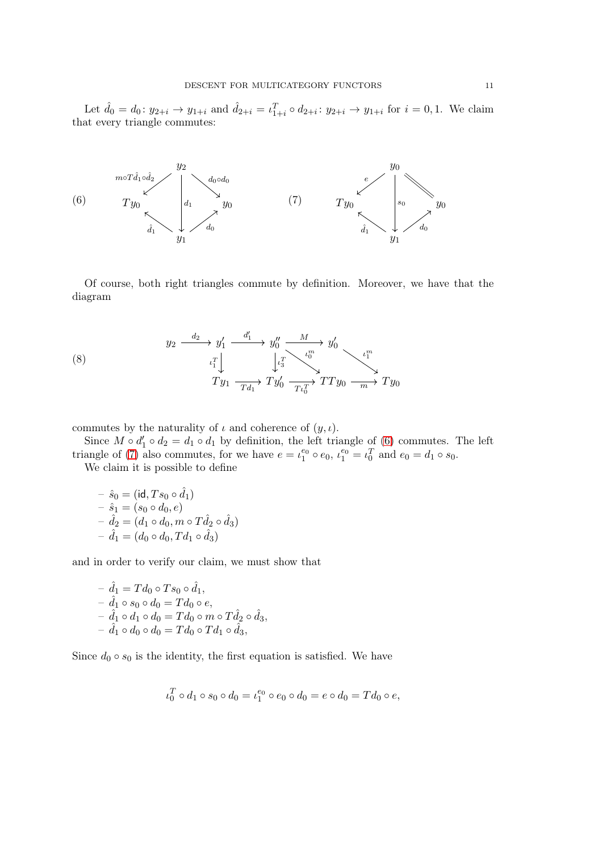Let  $\hat{d}_0 = d_0 \colon y_{2+i} \to y_{1+i}$  and  $\hat{d}_{2+i} = \iota_{1+i}^T \circ d_{2+i} \colon y_{2+i} \to y_{1+i}$  for  $i = 0, 1$ . We claim that every triangle commutes:

<span id="page-10-0"></span>

<span id="page-10-1"></span>Of course, both right triangles commute by definition. Moreover, we have that the diagram

<span id="page-10-2"></span>(8) 
$$
y_2 \xrightarrow{\quad d_2} y'_1 \xrightarrow{\quad d'_1} y''_0 \xrightarrow{\quad M} y'_0
$$

$$
t_1^T \downarrow \qquad \qquad t_3^T \searrow t_0^m
$$

$$
Ty_1 \xrightarrow{\quad T y'_1} Ty'_0 \xrightarrow{\quad T t_0^T} TT y_0 \xrightarrow{\quad m} Ty_0
$$

commutes by the naturality of  $\iota$  and coherence of  $(y, \iota)$ .

Since  $M \circ d_1' \circ d_2 = d_1 \circ d_1$  by definition, the left triangle of [\(6\)](#page-10-0) commutes. The left triangle of [\(7\)](#page-10-1) also commutes, for we have  $e = \iota_1^{e_0} \circ e_0$ ,  $\iota_1^{e_0} = \iota_0^T$  and  $e_0 = d_1 \circ s_0$ .

We claim it is possible to define

$$
- \hat{s}_0 = (\text{id}, Ts_0 \circ \hat{d}_1) - \hat{s}_1 = (s_0 \circ d_0, e) - \hat{d}_2 = (d_1 \circ d_0, m \circ T \hat{d}_2 \circ \hat{d}_3) - \hat{d}_1 = (d_0 \circ d_0, T d_1 \circ \hat{d}_3)
$$

and in order to verify our claim, we must show that

$$
- \hat{d}_1 = Td_0 \circ Ts_0 \circ \hat{d}_1,- \hat{d}_1 \circ s_0 \circ d_0 = Td_0 \circ e,- \hat{d}_1 \circ d_1 \circ d_0 = Td_0 \circ m \circ T\hat{d}_2 \circ \hat{d}_3,- \hat{d}_1 \circ d_0 \circ d_0 = Td_0 \circ Td_1 \circ \hat{d}_3,
$$

Since  $d_0 \circ s_0$  is the identity, the first equation is satisfied. We have

$$
\iota_0^T \circ d_1 \circ s_0 \circ d_0 = \iota_1^{e_0} \circ e_0 \circ d_0 = e \circ d_0 = T d_0 \circ e,
$$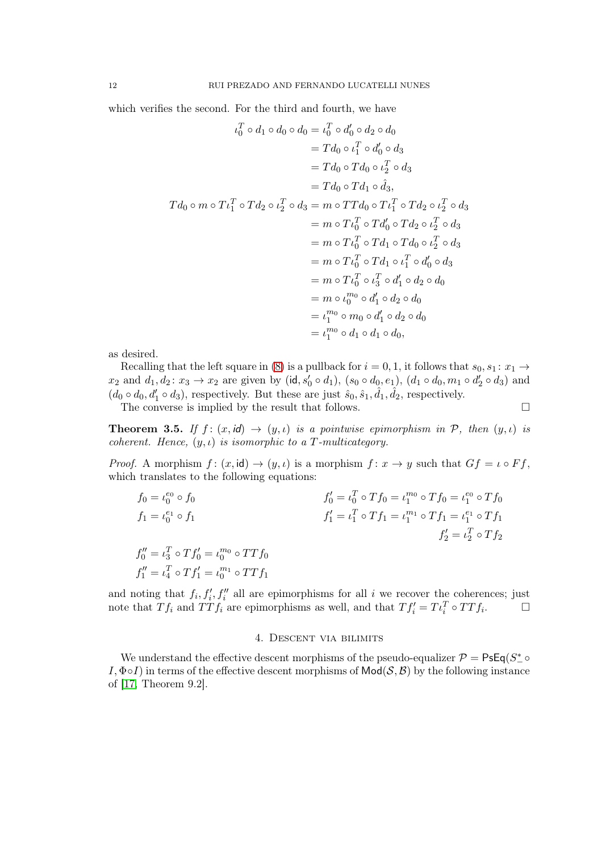which verifies the second. For the third and fourth, we have

$$
u_0^T \circ d_1 \circ d_0 \circ d_0 = u_0^T \circ d'_0 \circ d_2 \circ d_0
$$
  
\n
$$
= T d_0 \circ \iota_1^T \circ d'_0 \circ d_3
$$
  
\n
$$
= T d_0 \circ T d_1 \circ d_3,
$$
  
\n
$$
= T d_0 \circ T d_1 \circ d_3,
$$
  
\n
$$
T d_0 \circ m \circ T \iota_1^T \circ T d_2 \circ \iota_2^T \circ d_3 = m \circ T T d_0 \circ T \iota_1^T \circ T d_2 \circ \iota_2^T \circ d_3
$$
  
\n
$$
= m \circ T \iota_0^T \circ T d'_0 \circ T d_2 \circ \iota_2^T \circ d_3
$$
  
\n
$$
= m \circ T \iota_0^T \circ T d_1 \circ T d_0 \circ \iota_2^T \circ d_3
$$
  
\n
$$
= m \circ T \iota_0^T \circ T d_1 \circ \iota_1^T \circ d'_0 \circ d_3
$$
  
\n
$$
= m \circ T \iota_0^T \circ d'_1 \circ d_2 \circ d_0
$$
  
\n
$$
= m \circ \iota_0^{m_0} \circ d'_1 \circ d_2 \circ d_0
$$
  
\n
$$
= \iota_1^{m_0} \circ m_0 \circ d'_1 \circ d_2 \circ d_0
$$
  
\n
$$
= \iota_1^{m_0} \circ d_1 \circ d_1 \circ d_0,
$$

as desired.

Recalling that the left square in [\(8\)](#page-10-2) is a pullback for  $i = 0, 1$ , it follows that  $s_0, s_1 : x_1 \rightarrow$  $x_2$  and  $d_1, d_2: x_3 \to x_2$  are given by (id,  $s'_0 \circ d_1$ ),  $(s_0 \circ d_0, e_1)$ ,  $(d_1 \circ d_0, m_1 \circ d'_2 \circ d_3)$  and  $(d_0 \circ d_0, d'_1 \circ d_3)$ , respectively. But these are just  $\hat{s}_0, \hat{s}_1, \hat{d}_1, \hat{d}_2$ , respectively.

The converse is implied by the result that follows.  $\Box$ 

<span id="page-11-1"></span>**Theorem 3.5.** If  $f : (x, id) \rightarrow (y, \iota)$  is a pointwise epimorphism in P, then  $(y, \iota)$  is coherent. Hence,  $(y, \iota)$  is isomorphic to a T-multicategory.

*Proof.* A morphism  $f: (x, id) \to (y, \iota)$  is a morphism  $f: x \to y$  such that  $Gf = \iota \circ Ff$ , which translates to the following equations:

$$
f_0 = \iota_0^{e_0} \circ f_0
$$
  
\n
$$
f_1 = \iota_0^{e_1} \circ f_1
$$
  
\n
$$
f_1' = \iota_1^{e_1} \circ f_1
$$
  
\n
$$
f_1'' = \iota_1^{T} \circ T f_1 = \iota_1^{m_1} \circ T f_1 = \iota_1^{e_1} \circ T f_1
$$
  
\n
$$
f_1'' = \iota_1^{T} \circ T f_1' = \iota_1^{m_1} \circ T f_1
$$
  
\n
$$
f_2'' = \iota_2^{T} \circ T f_2
$$
  
\n
$$
f_1'' = \iota_1^{T} \circ T f_1' = \iota_0^{m_1} \circ T T f_1
$$

and noting that  $f_i, f'_i, f''_i$  all are epimorphisms for all i we recover the coherences; just note that  $Tf_i$  and  $TTf_i$  are epimorphisms as well, and that  $Tf'_i = T\iota_i^T \circ TTf_i$  $\Box$ 

## 4. Descent via bilimits

<span id="page-11-0"></span>We understand the effective descent morphisms of the pseudo-equalizer  $\mathcal{P} = \text{PsEq}(S^*_- \circ \text{C})$  $I, \Phi \circ I$ ) in terms of the effective descent morphisms of  $\mathsf{Mod}(\mathcal{S}, \mathcal{B})$  by the following instance of [\[17,](#page-17-12) Theorem 9.2].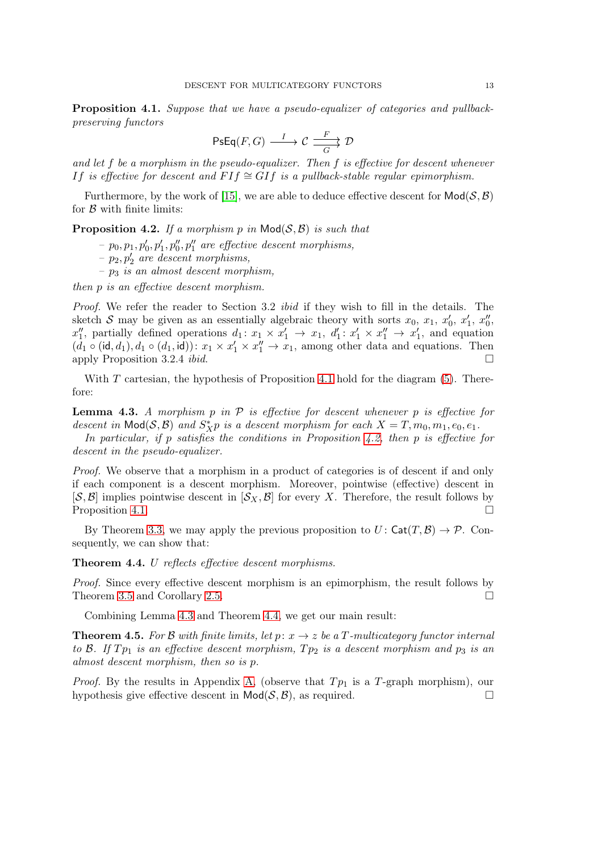<span id="page-12-0"></span>Proposition 4.1. Suppose that we have a pseudo-equalizer of categories and pullbackpreserving functors

$$
\text{PsEq}(F,G)\xrightarrow{\quad \ \ I\quad \quad }\mathcal{C}\xrightarrow[\quad G\quad \quad ]\qquad \mathcal{D}
$$

and let  $f$  be a morphism in the pseudo-equalizer. Then  $f$  is effective for descent whenever *If is effective for descent and FIf*  $\cong$  *GIf is a pullback-stable reqular epimorphism.* 

Furthermore, by the work of [\[15\]](#page-17-11), we are able to deduce effective descent for  $Mod(S, \mathcal{B})$ for  $\beta$  with finite limits:

<span id="page-12-4"></span>**Proposition 4.2.** If a morphism p in  $Mod(S, \mathcal{B})$  is such that

- $p_0, p_1, p'_0, p'_1, p''_0, p''_1$  are effective descent morphisms,
- $p_2, p'_2$  are descent morphisms,
- $p_3$  is an almost descent morphism,

then p is an effective descent morphism.

Proof. We refer the reader to Section 3.2 *ibid* if they wish to fill in the details. The sketch S may be given as an essentially algebraic theory with sorts  $x_0, x_1, x'_0, x'_1, x''_0$ ,  $x_1''$ , partially defined operations  $d_1: x_1 \times x_1' \rightarrow x_1$ ,  $d_1': x_1' \times x_1'' \rightarrow x_1'$ , and equation  $(d_1 \circ (\text{id}, d_1), d_1 \circ (d_1, \text{id}))\colon x_1 \times x_1' \times x_1'' \to x_1$ , among other data and equations. Then apply Proposition 3.2.4 *ibid.*  $\square$ 

With  $T$  cartesian, the hypothesis of Proposition [4.1](#page-12-0) hold for the diagram  $(5)$ . Therefore:

<span id="page-12-1"></span>**Lemma 4.3.** A morphism p in  $\mathcal P$  is effective for descent whenever p is effective for descent in  $\text{Mod}(S, \mathcal{B})$  and  $S_{X}^{*}p$  is a descent morphism for each  $X = T, m_0, m_1, e_0, e_1$ .

In particular, if p satisfies the conditions in Proposition [4.2,](#page-12-4) then p is effective for descent in the pseudo-equalizer.

Proof. We observe that a morphism in a product of categories is of descent if and only if each component is a descent morphism. Moreover, pointwise (effective) descent in  $[\mathcal{S}, \mathcal{B}]$  implies pointwise descent in  $[\mathcal{S}_X, \mathcal{B}]$  for every X. Therefore, the result follows by Proposition [4.1.](#page-12-0)

By Theorem [3.3,](#page-8-0) we may apply the previous proposition to  $U: Cat(T, \mathcal{B}) \to \mathcal{P}$ . Consequently, we can show that:

<span id="page-12-2"></span>Theorem 4.4. U reflects effective descent morphisms.

Proof. Since every effective descent morphism is an epimorphism, the result follows by Theorem [3.5](#page-11-1) and Corollary [2.5.](#page-5-2)

Combining Lemma [4.3](#page-12-1) and Theorem [4.4,](#page-12-2) we get our main result:

<span id="page-12-3"></span>**Theorem 4.5.** For B with finite limits, let p:  $x \to z$  be a T-multicategory functor internal to B. If  $Tp_1$  is an effective descent morphism,  $Tp_2$  is a descent morphism and  $p_3$  is an almost descent morphism, then so is p.

*Proof.* By the results in Appendix [A,](#page-16-0) (observe that  $Tp_1$  is a T-graph morphism), our hypothesis give effective descent in  $\mathsf{Mod}(\mathcal{S}, \mathcal{B})$ , as required.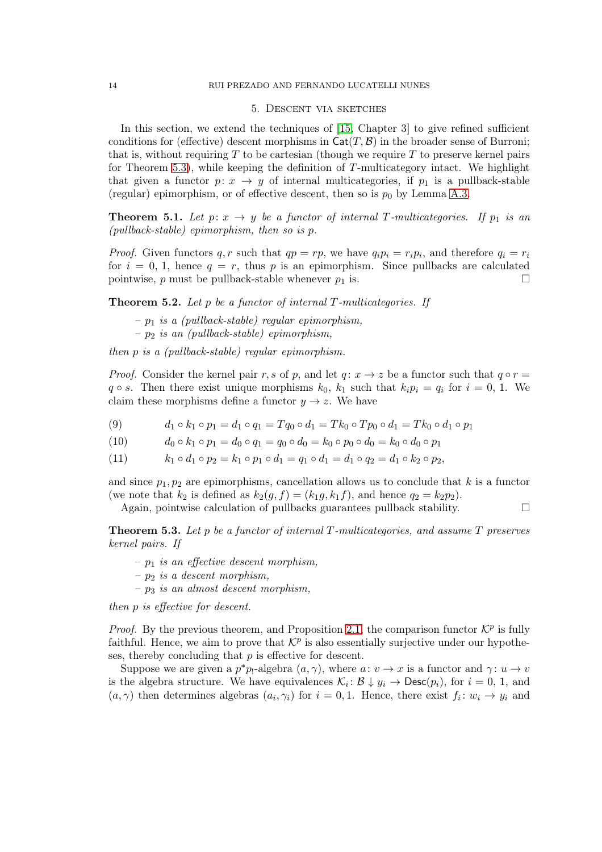## 5. Descent via sketches

<span id="page-13-0"></span>In this section, we extend the techniques of [\[15,](#page-17-11) Chapter 3] to give refined sufficient conditions for (effective) descent morphisms in  $\text{Cat}(T, \mathcal{B})$  in the broader sense of Burroni; that is, without requiring  $T$  to be cartesian (though we require  $T$  to preserve kernel pairs for Theorem [5.3\)](#page-13-1), while keeping the definition of  $T$ -multicategory intact. We highlight that given a functor  $p: x \to y$  of internal multicategories, if  $p_1$  is a pullback-stable (regular) epimorphism, or of effective descent, then so is  $p_0$  by Lemma [A.3.](#page-17-16)

**Theorem 5.1.** Let  $p: x \to y$  be a functor of internal T-multicategories. If  $p_1$  is an (pullback-stable) epimorphism, then so is p.

*Proof.* Given functors q, r such that  $qp = rp$ , we have  $q_i p_i = r_i p_i$ , and therefore  $q_i = r_i$ for  $i = 0, 1$ , hence  $q = r$ , thus p is an epimorphism. Since pullbacks are calculated pointwise, p must be pullback-stable whenever  $p_1$  is.

**Theorem 5.2.** Let p be a functor of internal  $T$ -multicategories. If

- $p_1$  is a (pullback-stable) regular epimorphism,
- $p_2$  is an (pullback-stable) epimorphism,

then p is a (pullback-stable) regular epimorphism.

*Proof.* Consider the kernel pair r, s of p, and let  $q: x \to z$  be a functor such that  $q \circ r =$  $q \circ s$ . Then there exist unique morphisms  $k_0$ ,  $k_1$  such that  $k_i p_i = q_i$  for  $i = 0, 1$ . We claim these morphisms define a functor  $y \to z$ . We have

- (9)  $d_1 \circ k_1 \circ p_1 = d_1 \circ q_1 = Tq_0 \circ d_1 = Tk_0 \circ Tp_0 \circ d_1 = Tk_0 \circ d_1 \circ p_1$
- (10)  $d_0 \circ k_1 \circ p_1 = d_0 \circ q_1 = q_0 \circ d_0 = k_0 \circ p_0 \circ d_0 = k_0 \circ d_0 \circ p_1$
- (11)  $k_1 \circ d_1 \circ p_2 = k_1 \circ p_1 \circ d_1 = q_1 \circ d_1 = d_1 \circ q_2 = d_1 \circ k_2 \circ p_2$

and since  $p_1, p_2$  are epimorphisms, cancellation allows us to conclude that k is a functor (we note that  $k_2$  is defined as  $k_2(g, f) = (k_1g, k_1f)$ , and hence  $q_2 = k_2p_2$ ).

Again, pointwise calculation of pullbacks guarantees pullback stability.  $\Box$ 

<span id="page-13-1"></span>**Theorem 5.3.** Let p be a functor of internal T-multicategories, and assume  $T$  preserves kernel pairs. If

- $-p_1$  is an effective descent morphism,
- $p_2$  is a descent morphism,
- $p_3$  is an almost descent morphism,

then p is effective for descent.

*Proof.* By the previous theorem, and Proposition [2.1,](#page-4-1) the comparison functor  $\mathcal{K}^p$  is fully faithful. Hence, we aim to prove that  $\mathcal{K}^p$  is also essentially surjective under our hypotheses, thereby concluding that p is effective for descent.

Suppose we are given a  $p^*p_1$ -algebra  $(a, \gamma)$ , where  $a: v \to x$  is a functor and  $\gamma: u \to v$ is the algebra structure. We have equivalences  $\mathcal{K}_i: \mathcal{B} \downarrow y_i \to \text{Desc}(p_i)$ , for  $i = 0, 1$ , and  $(a, \gamma)$  then determines algebras  $(a_i, \gamma_i)$  for  $i = 0, 1$ . Hence, there exist  $f_i : w_i \to y_i$  and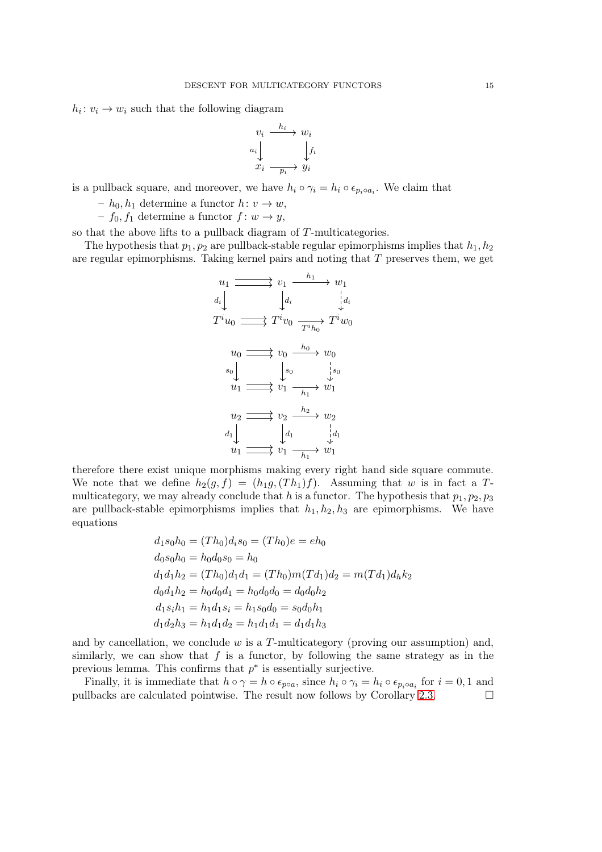$h_i: v_i \to w_i$  such that the following diagram

$$
v_i \xrightarrow{h_i} w_i
$$
  
\n
$$
a_i \downarrow \qquad \qquad \downarrow f_i
$$
  
\n
$$
x_i \xrightarrow{p_i} y_i
$$

is a pullback square, and moreover, we have  $h_i \circ \gamma_i = h_i \circ \epsilon_{p_i \circ a_i}$ . We claim that

–  $h_0, h_1$  determine a functor  $h: v \to w$ ,

–  $f_0, f_1$  determine a functor  $f: w \to y$ ,

so that the above lifts to a pullback diagram of T-multicategories.

The hypothesis that  $p_1, p_2$  are pullback-stable regular epimorphisms implies that  $h_1, h_2$ are regular epimorphisms. Taking kernel pairs and noting that  $T$  preserves them, we get

$$
u_1 \longrightarrow v_1 \longrightarrow w_1
$$
  
\n
$$
d_i \downarrow \qquad d_i \qquad d_i \qquad d_i
$$
  
\n
$$
T^i u_0 \longrightarrow T^i v_0 \longrightarrow T^i w_0
$$
  
\n
$$
u_0 \longrightarrow v_0 \longrightarrow w_0
$$
  
\n
$$
s_0 \downarrow \qquad s_0 \qquad s_0
$$
  
\n
$$
u_1 \longrightarrow v_1 \longrightarrow w_1
$$
  
\n
$$
u_2 \longrightarrow v_2 \longrightarrow w_2
$$
  
\n
$$
d_1 \downarrow \qquad d_1 \qquad d_1
$$
  
\n
$$
u_1 \longrightarrow v_1 \longrightarrow w_1
$$

therefore there exist unique morphisms making every right hand side square commute. We note that we define  $h_2(g, f) = (h_1g, (Th_1)f)$ . Assuming that w is in fact a Tmulticategory, we may already conclude that h is a functor. The hypothesis that  $p_1, p_2, p_3$ are pullback-stable epimorphisms implies that  $h_1, h_2, h_3$  are epimorphisms. We have equations

$$
d_1s_0h_0 = (Th_0)d_is_0 = (Th_0)e = eh_0
$$
  
\n
$$
d_0s_0h_0 = h_0d_0s_0 = h_0
$$
  
\n
$$
d_1d_1h_2 = (Th_0)d_1d_1 = (Th_0)m(Td_1)d_2 = m(Td_1)d_hk_2
$$
  
\n
$$
d_0d_1h_2 = h_0d_0d_1 = h_0d_0d_0 = d_0d_0h_2
$$
  
\n
$$
d_1s_ih_1 = h_1d_1s_i = h_1s_0d_0 = s_0d_0h_1
$$
  
\n
$$
d_1d_2h_3 = h_1d_1d_2 = h_1d_1d_1 = d_1d_1h_3
$$

and by cancellation, we conclude  $w$  is a  $T$ -multicategory (proving our assumption) and, similarly, we can show that  $f$  is a functor, by following the same strategy as in the previous lemma. This confirms that  $p^*$  is essentially surjective.

Finally, it is immediate that  $h \circ \gamma = h \circ \epsilon_{p \circ a}$ , since  $h_i \circ \gamma_i = h_i \circ \epsilon_{p_i \circ a_i}$  for  $i = 0, 1$  and pullbacks are calculated pointwise. The result now follows by Corollary [2.3.](#page-4-2)  $\Box$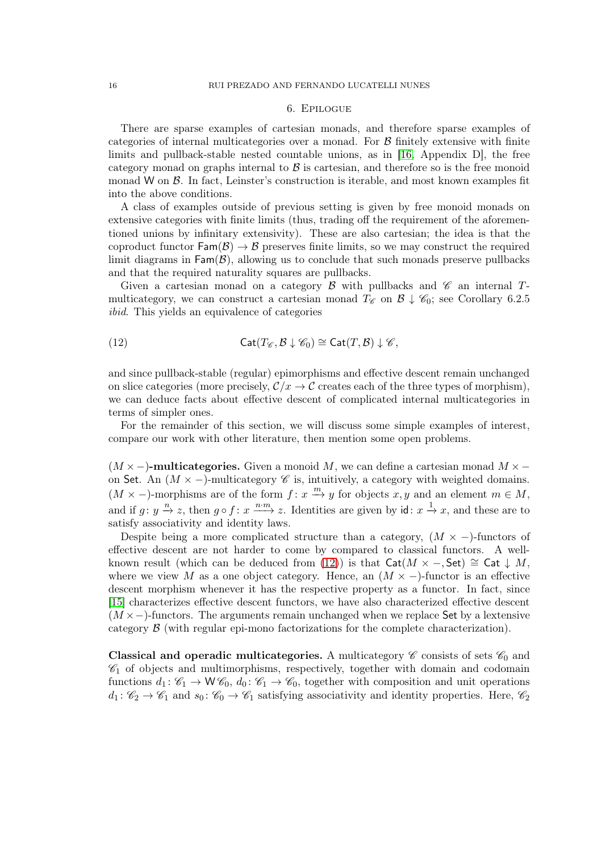## 6. Epilogue

<span id="page-15-0"></span>There are sparse examples of cartesian monads, and therefore sparse examples of categories of internal multicategories over a monad. For  $\beta$  finitely extensive with finite limits and pullback-stable nested countable unions, as in [\[16,](#page-17-17) Appendix D], the free category monad on graphs internal to  $\beta$  is cartesian, and therefore so is the free monoid monad W on  $\beta$ . In fact, Leinster's construction is iterable, and most known examples fit into the above conditions.

A class of examples outside of previous setting is given by free monoid monads on extensive categories with finite limits (thus, trading off the requirement of the aforementioned unions by infinitary extensivity). These are also cartesian; the idea is that the coproduct functor  $\text{Fam}(\mathcal{B}) \to \mathcal{B}$  preserves finite limits, so we may construct the required limit diagrams in  $\textsf{Fam}(\mathcal{B})$ , allowing us to conclude that such monads preserve pullbacks and that the required naturality squares are pullbacks.

Given a cartesian monad on a category  $\beta$  with pullbacks and  $\mathscr C$  an internal Tmulticategory, we can construct a cartesian monad  $T_{\mathscr{C}}$  on  $\mathscr{B} \downarrow \mathscr{C}_0$ ; see Corollary 6.2.5 ibid. This yields an equivalence of categories

<span id="page-15-1"></span>(12) 
$$
\mathsf{Cat}(T_{\mathscr{C}}, \mathcal{B} \downarrow \mathscr{C}_0) \cong \mathsf{Cat}(T, \mathcal{B}) \downarrow \mathscr{C},
$$

and since pullback-stable (regular) epimorphisms and effective descent remain unchanged on slice categories (more precisely,  $\mathcal{C}/x \to \mathcal{C}$  creates each of the three types of morphism), we can deduce facts about effective descent of complicated internal multicategories in terms of simpler ones.

For the remainder of this section, we will discuss some simple examples of interest, compare our work with other literature, then mention some open problems.

 $(M \times -)$ -multicategories. Given a monoid M, we can define a cartesian monad  $M \times$ on Set. An  $(M \times -)$ -multicategory  $\mathscr C$  is, intuitively, a category with weighted domains.  $(M \times -)$ -morphisms are of the form  $f: x \stackrel{m}{\to} y$  for objects  $x, y$  and an element  $m \in M$ , and if  $g: y \stackrel{n}{\rightarrow} z$ , then  $g \circ f: x \stackrel{n \cdot m}{\longrightarrow} z$ . Identities are given by  $id: x \stackrel{1}{\rightarrow} x$ , and these are to satisfy associativity and identity laws.

Despite being a more complicated structure than a category,  $(M \times -)$ -functors of effective descent are not harder to come by compared to classical functors. A well-known result (which can be deduced from [\(12\)](#page-15-1)) is that  $\mathsf{Cat}(M \times -$ , Set) ≅ Cat  $\downarrow M$ , where we view M as a one object category. Hence, an  $(M \times -)$ -functor is an effective descent morphism whenever it has the respective property as a functor. In fact, since [\[15\]](#page-17-11) characterizes effective descent functors, we have also characterized effective descent  $(M \times-)$ -functors. The arguments remain unchanged when we replace Set by a lextensive category B (with regular epi-mono factorizations for the complete characterization).

Classical and operadic multicategories. A multicategory  $\mathscr C$  consists of sets  $\mathscr C_0$  and  $\mathscr{C}_1$  of objects and multimorphisms, respectively, together with domain and codomain functions  $d_1: \mathcal{C}_1 \to W\mathcal{C}_0$ ,  $d_0: \mathcal{C}_1 \to \mathcal{C}_0$ , together with composition and unit operations  $d_1: \mathscr{C}_2 \to \mathscr{C}_1$  and  $s_0: \mathscr{C}_0 \to \mathscr{C}_1$  satisfying associativity and identity properties. Here,  $\mathscr{C}_2$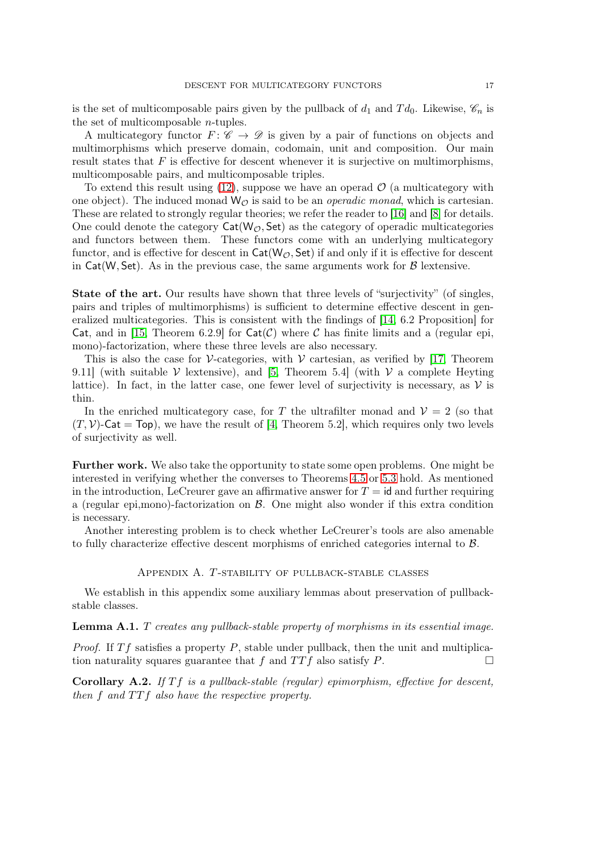is the set of multicomposable pairs given by the pullback of  $d_1$  and  $Td_0$ . Likewise,  $\mathscr{C}_n$  is the set of multicomposable  $n$ -tuples.

A multicategory functor  $F: \mathscr{C} \to \mathscr{D}$  is given by a pair of functions on objects and multimorphisms which preserve domain, codomain, unit and composition. Our main result states that  $F$  is effective for descent whenever it is surjective on multimorphisms, multicomposable pairs, and multicomposable triples.

To extend this result using  $(12)$ , suppose we have an operad  $\mathcal{O}$  (a multicategory with one object). The induced monad  $W_{\mathcal{O}}$  is said to be an *operadic monad*, which is cartesian. These are related to strongly regular theories; we refer the reader to [\[16\]](#page-17-17) and [\[8\]](#page-17-18) for details. One could denote the category  $\text{Cat}(W_{\mathcal{O}}, \text{Set})$  as the category of operadic multicategories and functors between them. These functors come with an underlying multicategory functor, and is effective for descent in  $\mathsf{Cat}(W_{\mathcal{O}}, \mathsf{Set})$  if and only if it is effective for descent in Cat(W, Set). As in the previous case, the same arguments work for  $\beta$  lextensive.

State of the art. Our results have shown that three levels of "surjectivity" (of singles, pairs and triples of multimorphisms) is sufficient to determine effective descent in generalized multicategories. This is consistent with the findings of [\[14,](#page-17-3) 6.2 Proposition] for Cat, and in [\[15,](#page-17-11) Theorem 6.2.9] for  $Cat(\mathcal{C})$  where C has finite limits and a (regular epi, mono)-factorization, where these three levels are also necessary.

This is also the case for V-categories, with  $V$  cartesian, as verified by [\[17,](#page-17-12) Theorem 9.11] (with suitable  $\mathcal V$  lextensive), and [\[5,](#page-17-7) Theorem 5.4] (with  $\mathcal V$  a complete Heyting lattice). In fact, in the latter case, one fewer level of surjectivity is necessary, as  $\mathcal V$  is thin.

In the enriched multicategory case, for T the ultrafilter monad and  $\mathcal{V} = 2$  (so that  $(T, V)$ -Cat = Top), we have the result of [\[4,](#page-17-5) Theorem 5.2], which requires only two levels of surjectivity as well.

Further work. We also take the opportunity to state some open problems. One might be interested in verifying whether the converses to Theorems [4.5](#page-12-3) or [5.3](#page-13-1) hold. As mentioned in the introduction, LeCreurer gave an affirmative answer for  $T = id$  and further requiring a (regular epi, mono)-factorization on  $\beta$ . One might also wonder if this extra condition is necessary.

<span id="page-16-0"></span>Another interesting problem is to check whether LeCreurer's tools are also amenable to fully characterize effective descent morphisms of enriched categories internal to B.

### Appendix A. T-stability of pullback-stable classes

We establish in this appendix some auxiliary lemmas about preservation of pullbackstable classes.

Lemma A.1. T creates any pullback-stable property of morphisms in its essential image.

*Proof.* If  $Tf$  satisfies a property P, stable under pullback, then the unit and multiplication naturality squares guarantee that f and  $TTf$  also satisfy P.

Corollary A.2. If  $Tf$  is a pullback-stable (regular) epimorphism, effective for descent, then f and  $TTf$  also have the respective property.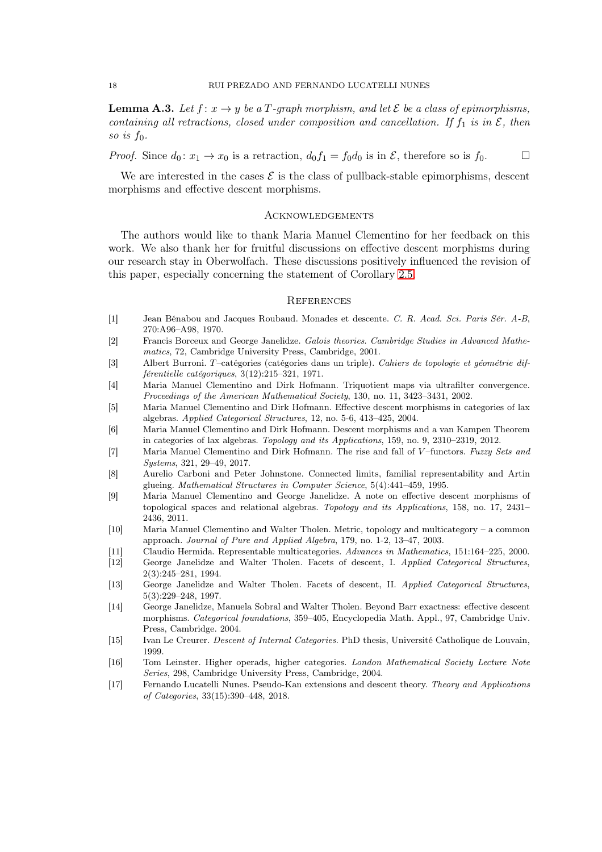<span id="page-17-16"></span>**Lemma A.3.** Let  $f: x \to y$  be a T-graph morphism, and let  $\mathcal{E}$  be a class of epimorphisms, containing all retractions, closed under composition and cancellation. If  $f_1$  is in  $\mathcal{E}$ , then so is  $f_0$ .

*Proof.* Since  $d_0: x_1 \to x_0$  is a retraction,  $d_0 f_1 = f_0 d_0$  is in  $\mathcal{E}$ , therefore so is  $f_0$ .

We are interested in the cases  $\mathcal E$  is the class of pullback-stable epimorphisms, descent morphisms and effective descent morphisms.

## <span id="page-17-0"></span>**ACKNOWLEDGEMENTS**

The authors would like to thank Maria Manuel Clementino for her feedback on this work. We also thank her for fruitful discussions on effective descent morphisms during our research stay in Oberwolfach. These discussions positively influenced the revision of this paper, especially concerning the statement of Corollary [2.5.](#page-5-2)

#### <span id="page-17-1"></span>**REFERENCES**

- <span id="page-17-15"></span>[1] Jean Bénabou and Jacques Roubaud. Monades et descente. C. R. Acad. Sci. Paris Sér. A-B, 270:A96–A98, 1970.
- <span id="page-17-4"></span>[2] Francis Borceux and George Janelidze. Galois theories. Cambridge Studies in Advanced Mathematics, 72, Cambridge University Press, Cambridge, 2001.
- <span id="page-17-13"></span>[3] Albert Burroni. T –catégories (catégories dans un triple). Cahiers de topologie et géométrie différentielle catégoriques, 3(12):215–321, 1971.
- <span id="page-17-5"></span>[4] Maria Manuel Clementino and Dirk Hofmann. Triquotient maps via ultrafilter convergence. Proceedings of the American Mathematical Society, 130, no. 11, 3423–3431, 2002.
- <span id="page-17-7"></span>[5] Maria Manuel Clementino and Dirk Hofmann. Effective descent morphisms in categories of lax algebras. Applied Categorical Structures, 12, no. 5-6, 413–425, 2004.
- <span id="page-17-9"></span>[6] Maria Manuel Clementino and Dirk Hofmann. Descent morphisms and a van Kampen Theorem in categories of lax algebras. Topology and its Applications, 159, no. 9, 2310–2319, 2012.
- <span id="page-17-10"></span>[7] Maria Manuel Clementino and Dirk Hofmann. The rise and fall of V-functors. Fuzzy Sets and Systems, 321, 29–49, 2017.
- <span id="page-17-18"></span>[8] Aurelio Carboni and Peter Johnstone. Connected limits, familial representability and Artin glueing. Mathematical Structures in Computer Science, 5(4):441–459, 1995.
- <span id="page-17-8"></span>[9] Maria Manuel Clementino and George Janelidze. A note on effective descent morphisms of topological spaces and relational algebras. Topology and its Applications, 158, no. 17, 2431– 2436, 2011.
- <span id="page-17-6"></span>[10] Maria Manuel Clementino and Walter Tholen. Metric, topology and multicategory – a common approach. Journal of Pure and Applied Algebra, 179, no. 1-2, 13–47, 2003.
- <span id="page-17-14"></span>[11] Claudio Hermida. Representable multicategories. Advances in Mathematics, 151:164–225, 2000.
- <span id="page-17-2"></span>[12] George Janelidze and Walter Tholen. Facets of descent, I. Applied Categorical Structures, 2(3):245–281, 1994.
- [13] George Janelidze and Walter Tholen. Facets of descent, II. Applied Categorical Structures, 5(3):229–248, 1997.
- <span id="page-17-3"></span>[14] George Janelidze, Manuela Sobral and Walter Tholen. Beyond Barr exactness: effective descent morphisms. Categorical foundations, 359–405, Encyclopedia Math. Appl., 97, Cambridge Univ. Press, Cambridge. 2004.
- <span id="page-17-11"></span>[15] Ivan Le Creurer. Descent of Internal Categories. PhD thesis, Université Catholique de Louvain, 1999.
- <span id="page-17-17"></span>[16] Tom Leinster. Higher operads, higher categories. London Mathematical Society Lecture Note Series, 298, Cambridge University Press, Cambridge, 2004.
- <span id="page-17-12"></span>[17] Fernando Lucatelli Nunes. Pseudo-Kan extensions and descent theory. Theory and Applications of Categories, 33(15):390–448, 2018.